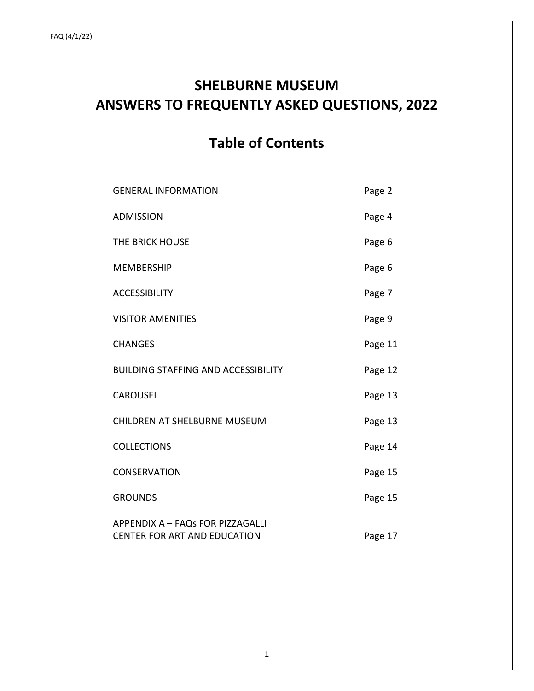# **SHELBURNE MUSEUM ANSWERS TO FREQUENTLY ASKED QUESTIONS, 2022**

# **Table of Contents**

| <b>GENERAL INFORMATION</b>                                              | Page 2  |
|-------------------------------------------------------------------------|---------|
| <b>ADMISSION</b>                                                        | Page 4  |
| THE BRICK HOUSE                                                         | Page 6  |
| <b>MEMBERSHIP</b>                                                       | Page 6  |
| <b>ACCESSIBILITY</b>                                                    | Page 7  |
| <b>VISITOR AMENITIES</b>                                                | Page 9  |
| <b>CHANGES</b>                                                          | Page 11 |
| <b>BUILDING STAFFING AND ACCESSIBILITY</b>                              | Page 12 |
| <b>CAROUSEL</b>                                                         | Page 13 |
| <b>CHILDREN AT SHELBURNE MUSEUM</b>                                     | Page 13 |
| <b>COLLECTIONS</b>                                                      | Page 14 |
| CONSERVATION                                                            | Page 15 |
| <b>GROUNDS</b>                                                          | Page 15 |
| APPENDIX A - FAQs FOR PIZZAGALLI<br><b>CENTER FOR ART AND EDUCATION</b> | Page 17 |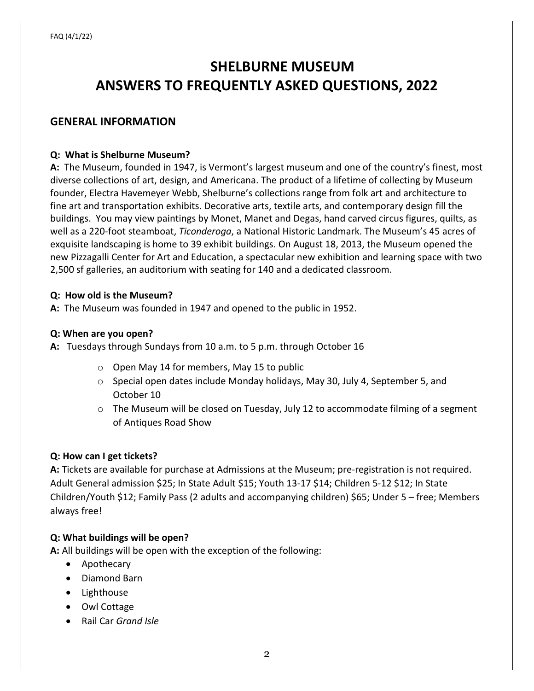# **SHELBURNE MUSEUM ANSWERS TO FREQUENTLY ASKED QUESTIONS, 2022**

## **GENERAL INFORMATION**

#### **Q: What is Shelburne Museum?**

**A:** The Museum, founded in 1947, is Vermont's largest museum and one of the country's finest, most diverse collections of art, design, and Americana. The product of a lifetime of collecting by Museum founder, Electra Havemeyer Webb, Shelburne's collections range from folk art and architecture to fine art and transportation exhibits. Decorative arts, textile arts, and contemporary design fill the buildings. You may view paintings by Monet, Manet and Degas, hand carved circus figures, quilts, as well as a 220-foot steamboat, *Ticonderoga*, a National Historic Landmark. The Museum's 45 acres of exquisite landscaping is home to 39 exhibit buildings. On August 18, 2013, the Museum opened the new Pizzagalli Center for Art and Education, a spectacular new exhibition and learning space with two 2,500 sf galleries, an auditorium with seating for 140 and a dedicated classroom.

#### **Q: How old is the Museum?**

**A:** The Museum was founded in 1947 and opened to the public in 1952.

#### **Q: When are you open?**

**A:** Tuesdays through Sundays from 10 a.m. to 5 p.m. through October 16

- o Open May 14 for members, May 15 to public
- $\circ$  Special open dates include Monday holidays, May 30, July 4, September 5, and October 10
- $\circ$  The Museum will be closed on Tuesday, July 12 to accommodate filming of a segment of Antiques Road Show

#### **Q: How can I get tickets?**

**A:** Tickets are available for purchase at Admissions at the Museum; pre-registration is not required. Adult General admission \$25; In State Adult \$15; Youth 13-17 \$14; Children 5-12 \$12; In State Children/Youth \$12; Family Pass (2 adults and accompanying children) \$65; Under 5 – free; Members always free!

#### **Q: What buildings will be open?**

**A:** All buildings will be open with the exception of the following:

- Apothecary
- Diamond Barn
- Lighthouse
- Owl Cottage
- Rail Car *Grand Isle*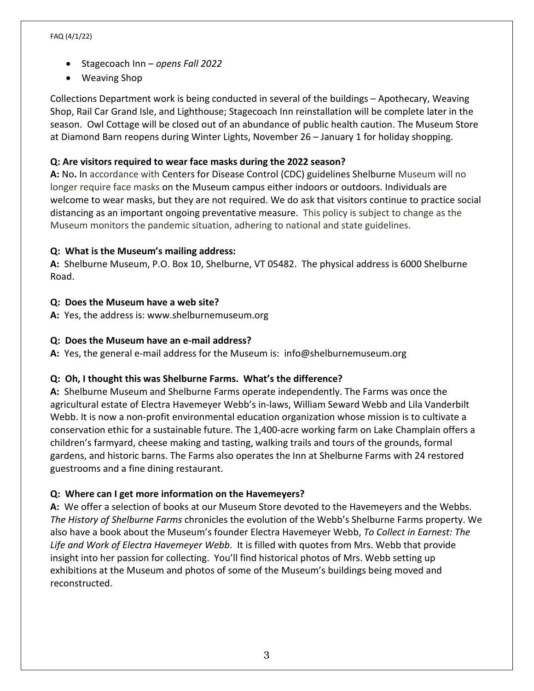- Stagecoach Inn *opens Fall 2022*
- Weaving Shop

Collections Department work is being conducted in several of the buildings – Apothecary, Weaving Shop, Rail Car Grand Isle, and Lighthouse; Stagecoach Inn reinstallation will be complete later in the season. Owl Cottage will be closed out of an abundance of public health caution. The Museum Store at Diamond Barn reopens during Winter Lights, November 26 – January 1 for holiday shopping.

#### **Q: Are visitors required to wear face masks during the 2022 season?**

**A:** No**.** In accordance with Centers for Disease Control (CDC) guidelines Shelburne Museum will no longer require face masks on the Museum campus either indoors or outdoors. Individuals are welcome to wear masks, but they are not required. We do ask that visitors continue to practice social distancing as an important ongoing preventative measure. This policy is subject to change as the Museum monitors the pandemic situation, adhering to national and state guidelines.

#### **Q: What is the Museum's mailing address:**

**A:** Shelburne Museum, P.O. Box 10, Shelburne, VT 05482. The physical address is 6000 Shelburne Road.

#### **Q: Does the Museum have a web site?**

**A:** Yes, the address is: www.shelburnemuseum.org

#### **Q: Does the Museum have an e-mail address?**

**A:** Yes, the general e-mail address for the Museum is: info@shelburnemuseum.org

#### **Q: Oh, I thought this was Shelburne Farms. What's the difference?**

**A:** Shelburne Museum and Shelburne Farms operate independently. The Farms was once the agricultural estate of Electra Havemeyer Webb's in-laws, William Seward Webb and Lila Vanderbilt Webb. It is now a non-profit environmental education organization whose mission is to cultivate a conservation ethic for a sustainable future. The 1,400-acre working farm on Lake Champlain offers a children's farmyard, cheese making and tasting, walking trails and tours of the grounds, formal gardens, and historic barns. The Farms also operates the Inn at Shelburne Farms with 24 restored guestrooms and a fine dining restaurant.

#### **Q: Where can I get more information on the Havemeyers?**

**A:** We offer a selection of books at our Museum Store devoted to the Havemeyers and the Webbs. *The History of Shelburne Farms* chronicles the evolution of the Webb's Shelburne Farms property. We also have a book about the Museum's founder Electra Havemeyer Webb, *To Collect in Earnest: The Life and Work of Electra Havemeyer Webb*. It is filled with quotes from Mrs. Webb that provide insight into her passion for collecting. You'll find historical photos of Mrs. Webb setting up exhibitions at the Museum and photos of some of the Museum's buildings being moved and reconstructed.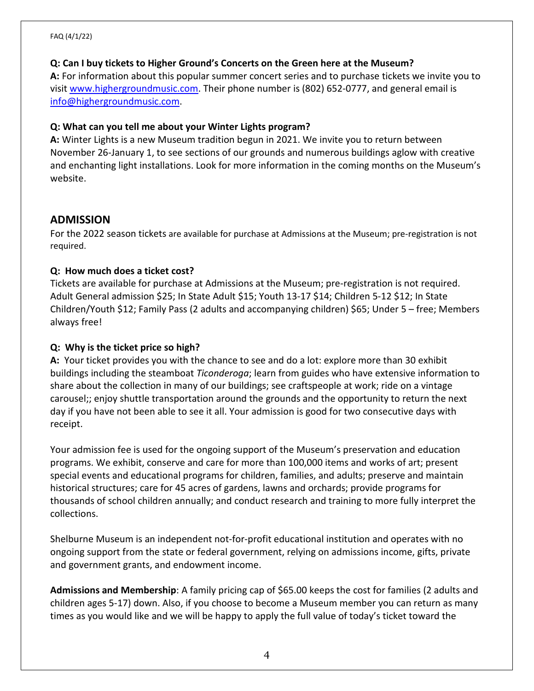#### **Q: Can I buy tickets to Higher Ground's Concerts on the Green here at the Museum?**

**A:** For information about this popular summer concert series and to purchase tickets we invite you to visit [www.highergroundmusic.com.](http://www.highergroundmusic.com/) Their phone number is (802) 652-0777, and general email is [info@highergroundmusic.com.](mailto:info@highergroundmusic.com)

#### **Q: What can you tell me about your Winter Lights program?**

**A:** Winter Lights is a new Museum tradition begun in 2021. We invite you to return between November 26-January 1, to see sections of our grounds and numerous buildings aglow with creative and enchanting light installations. Look for more information in the coming months on the Museum's website.

# **ADMISSION**

For the 2022 season tickets are available for purchase at Admissions at the Museum; pre-registration is not required.

## **Q: How much does a ticket cost?**

Tickets are available for purchase at Admissions at the Museum; pre-registration is not required. Adult General admission \$25; In State Adult \$15; Youth 13-17 \$14; Children 5-12 \$12; In State Children/Youth \$12; Family Pass (2 adults and accompanying children) \$65; Under 5 – free; Members always free!

# **Q: Why is the ticket price so high?**

**A:** Your ticket provides you with the chance to see and do a lot: explore more than 30 exhibit buildings including the steamboat *Ticonderoga*; learn from guides who have extensive information to share about the collection in many of our buildings; see craftspeople at work; ride on a vintage carousel;; enjoy shuttle transportation around the grounds and the opportunity to return the next day if you have not been able to see it all. Your admission is good for two consecutive days with receipt.

Your admission fee is used for the ongoing support of the Museum's preservation and education programs. We exhibit, conserve and care for more than 100,000 items and works of art; present special events and educational programs for children, families, and adults; preserve and maintain historical structures; care for 45 acres of gardens, lawns and orchards; provide programs for thousands of school children annually; and conduct research and training to more fully interpret the collections.

Shelburne Museum is an independent not-for-profit educational institution and operates with no ongoing support from the state or federal government, relying on admissions income, gifts, private and government grants, and endowment income.

**Admissions and Membership**: A family pricing cap of \$65.00 keeps the cost for families (2 adults and children ages 5-17) down. Also, if you choose to become a Museum member you can return as many times as you would like and we will be happy to apply the full value of today's ticket toward the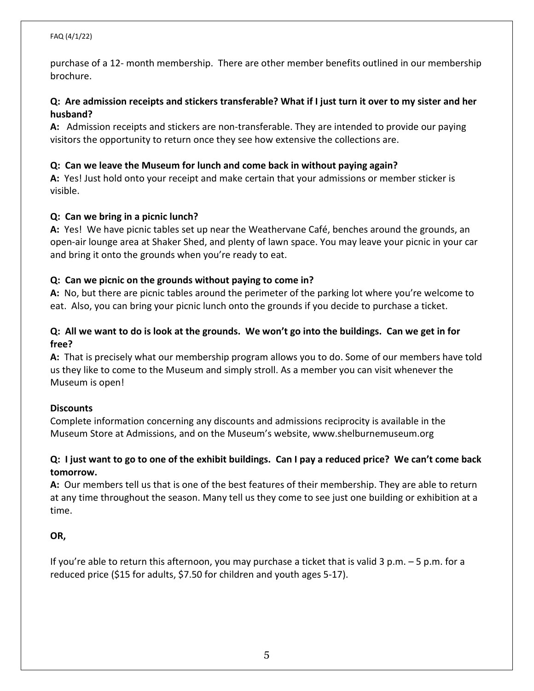purchase of a 12- month membership. There are other member benefits outlined in our membership brochure.

## **Q: Are admission receipts and stickers transferable? What if I just turn it over to my sister and her husband?**

**A:** Admission receipts and stickers are non-transferable. They are intended to provide our paying visitors the opportunity to return once they see how extensive the collections are.

#### **Q: Can we leave the Museum for lunch and come back in without paying again?**

**A:** Yes! Just hold onto your receipt and make certain that your admissions or member sticker is visible.

#### **Q: Can we bring in a picnic lunch?**

**A:** Yes! We have picnic tables set up near the Weathervane Café, benches around the grounds, an open-air lounge area at Shaker Shed, and plenty of lawn space. You may leave your picnic in your car and bring it onto the grounds when you're ready to eat.

#### **Q: Can we picnic on the grounds without paying to come in?**

**A:** No, but there are picnic tables around the perimeter of the parking lot where you're welcome to eat. Also, you can bring your picnic lunch onto the grounds if you decide to purchase a ticket.

## **Q: All we want to do is look at the grounds. We won't go into the buildings. Can we get in for free?**

**A:** That is precisely what our membership program allows you to do. Some of our members have told us they like to come to the Museum and simply stroll. As a member you can visit whenever the Museum is open!

#### **Discounts**

Complete information concerning any discounts and admissions reciprocity is available in the Museum Store at Admissions, and on the Museum's website, www.shelburnemuseum.org

#### **Q: I just want to go to one of the exhibit buildings. Can I pay a reduced price? We can't come back tomorrow.**

**A:** Our members tell us that is one of the best features of their membership. They are able to return at any time throughout the season. Many tell us they come to see just one building or exhibition at a time.

#### **OR,**

If you're able to return this afternoon, you may purchase a ticket that is valid 3 p.m. – 5 p.m. for a reduced price (\$15 for adults, \$7.50 for children and youth ages 5-17).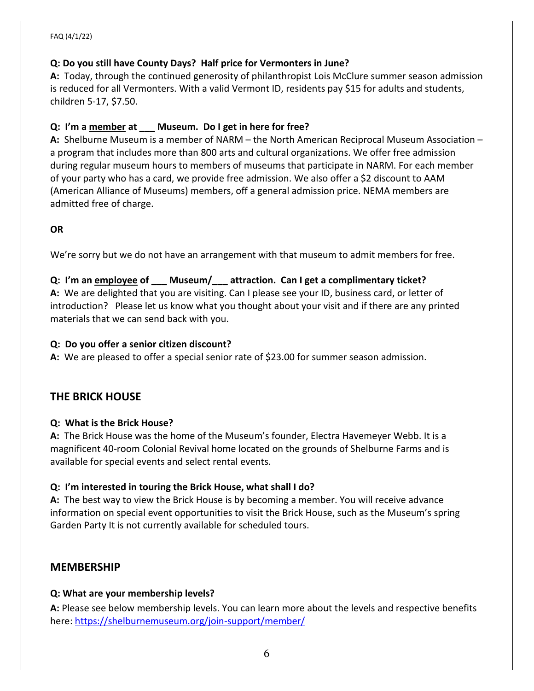#### **Q: Do you still have County Days? Half price for Vermonters in June?**

**A:** Today, through the continued generosity of philanthropist Lois McClure summer season admission is reduced for all Vermonters. With a valid Vermont ID, residents pay \$15 for adults and students, children 5-17, \$7.50.

#### **Q: I'm a member at \_\_\_ Museum. Do I get in here for free?**

**A:** Shelburne Museum is a member of NARM – the North American Reciprocal Museum Association – a program that includes more than 800 arts and cultural organizations. We offer free admission during regular museum hours to members of museums that participate in NARM. For each member of your party who has a card, we provide free admission. We also offer a \$2 discount to AAM (American Alliance of Museums) members, off a general admission price. NEMA members are admitted free of charge.

#### **OR**

We're sorry but we do not have an arrangement with that museum to admit members for free.

#### **Q: I'm an employee of \_\_\_ Museum/\_\_\_ attraction. Can I get a complimentary ticket?**

**A:** We are delighted that you are visiting. Can I please see your ID, business card, or letter of introduction? Please let us know what you thought about your visit and if there are any printed materials that we can send back with you.

#### **Q: Do you offer a senior citizen discount?**

**A:** We are pleased to offer a special senior rate of \$23.00 for summer season admission.

# **THE BRICK HOUSE**

#### **Q: What is the Brick House?**

**A:** The Brick House was the home of the Museum's founder, Electra Havemeyer Webb. It is a magnificent 40-room Colonial Revival home located on the grounds of Shelburne Farms and is available for special events and select rental events.

#### **Q: I'm interested in touring the Brick House, what shall I do?**

**A:** The best way to view the Brick House is by becoming a member. You will receive advance information on special event opportunities to visit the Brick House, such as the Museum's spring Garden Party It is not currently available for scheduled tours.

#### **MEMBERSHIP**

#### **Q: What are your membership levels?**

**A:** Please see below membership levels. You can learn more about the levels and respective benefits here:<https://shelburnemuseum.org/join-support/member/>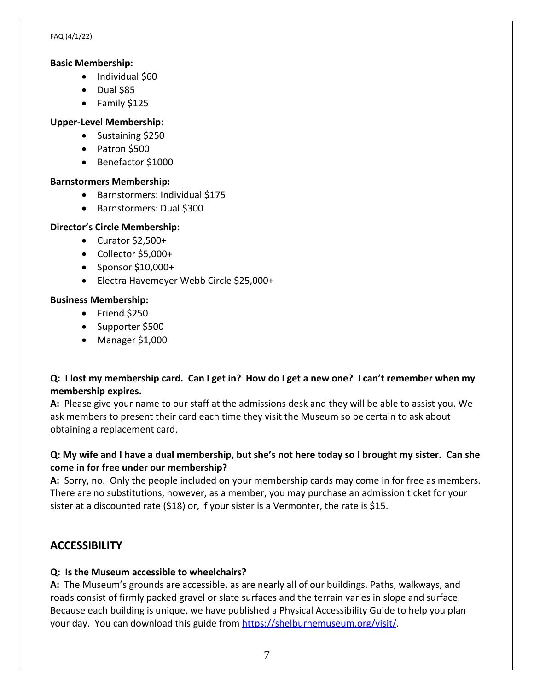#### **Basic Membership:**

- Individual \$60
- Dual \$85
- Family \$125

## **Upper-Level Membership:**

- Sustaining \$250
- Patron \$500
- Benefactor \$1000

## **Barnstormers Membership:**

- Barnstormers: Individual \$175
- Barnstormers: Dual \$300

## **Director's Circle Membership:**

- Curator \$2,500+
- Collector \$5,000+
- Sponsor \$10,000+
- Electra Havemeyer Webb Circle \$25,000+

#### **Business Membership:**

- Friend \$250
- Supporter \$500
- Manager \$1,000

# **Q: I lost my membership card. Can I get in? How do I get a new one? I can't remember when my membership expires.**

**A:** Please give your name to our staff at the admissions desk and they will be able to assist you. We ask members to present their card each time they visit the Museum so be certain to ask about obtaining a replacement card.

# **Q: My wife and I have a dual membership, but she's not here today so I brought my sister. Can she come in for free under our membership?**

**A:** Sorry, no. Only the people included on your membership cards may come in for free as members. There are no substitutions, however, as a member, you may purchase an admission ticket for your sister at a discounted rate (\$18) or, if your sister is a Vermonter, the rate is \$15.

# **ACCESSIBILITY**

# **Q: Is the Museum accessible to wheelchairs?**

**A:** The Museum's grounds are accessible, as are nearly all of our buildings. Paths, walkways, and roads consist of firmly packed gravel or slate surfaces and the terrain varies in slope and surface. Because each building is unique, we have published a Physical Accessibility Guide to help you plan your day. You can download this guide from [https://shelburnemuseum.org/visit/.](https://shelburnemuseum.org/visit/)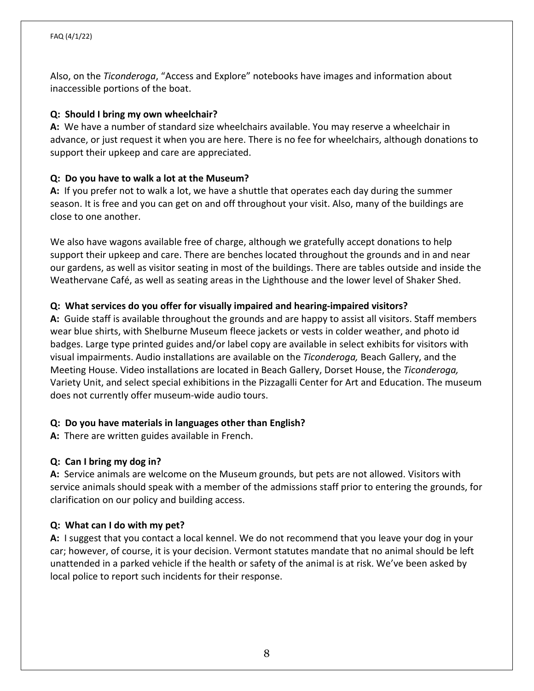Also, on the *Ticonderoga*, "Access and Explore" notebooks have images and information about inaccessible portions of the boat.

#### **Q: Should I bring my own wheelchair?**

**A:** We have a number of standard size wheelchairs available. You may reserve a wheelchair in advance, or just request it when you are here. There is no fee for wheelchairs, although donations to support their upkeep and care are appreciated.

#### **Q: Do you have to walk a lot at the Museum?**

**A:** If you prefer not to walk a lot, we have a shuttle that operates each day during the summer season. It is free and you can get on and off throughout your visit. Also, many of the buildings are close to one another.

We also have wagons available free of charge, although we gratefully accept donations to help support their upkeep and care. There are benches located throughout the grounds and in and near our gardens, as well as visitor seating in most of the buildings. There are tables outside and inside the Weathervane Café, as well as seating areas in the Lighthouse and the lower level of Shaker Shed.

#### **Q: What services do you offer for visually impaired and hearing-impaired visitors?**

**A:** Guide staff is available throughout the grounds and are happy to assist all visitors. Staff members wear blue shirts, with Shelburne Museum fleece jackets or vests in colder weather, and photo id badges. Large type printed guides and/or label copy are available in select exhibits for visitors with visual impairments. Audio installations are available on the *Ticonderoga,* Beach Gallery, and the Meeting House. Video installations are located in Beach Gallery, Dorset House, the *Ticonderoga,* Variety Unit, and select special exhibitions in the Pizzagalli Center for Art and Education. The museum does not currently offer museum-wide audio tours.

#### **Q: Do you have materials in languages other than English?**

**A:** There are written guides available in French.

#### **Q: Can I bring my dog in?**

**A:** Service animals are welcome on the Museum grounds, but pets are not allowed. Visitors with service animals should speak with a member of the admissions staff prior to entering the grounds, for clarification on our policy and building access.

#### **Q: What can I do with my pet?**

**A:** I suggest that you contact a local kennel. We do not recommend that you leave your dog in your car; however, of course, it is your decision. Vermont statutes mandate that no animal should be left unattended in a parked vehicle if the health or safety of the animal is at risk. We've been asked by local police to report such incidents for their response.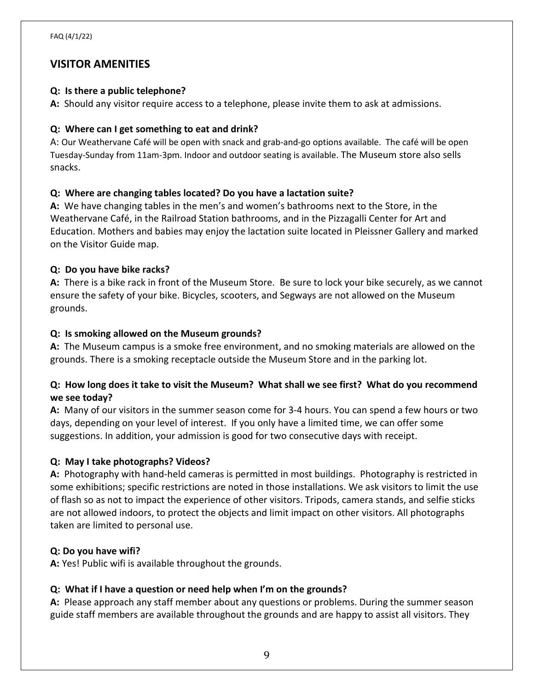# **VISITOR AMENITIES**

#### **Q: Is there a public telephone?**

**A:** Should any visitor require access to a telephone, please invite them to ask at admissions.

## **Q: Where can I get something to eat and drink?**

A: Our Weathervane Café will be open with snack and grab-and-go options available. The café will be open Tuesday-Sunday from 11am-3pm. Indoor and outdoor seating is available. The Museum store also sells snacks.

## **Q: Where are changing tables located? Do you have a lactation suite?**

**A:** We have changing tables in the men's and women's bathrooms next to the Store, in the Weathervane Café, in the Railroad Station bathrooms, and in the Pizzagalli Center for Art and Education. Mothers and babies may enjoy the lactation suite located in Pleissner Gallery and marked on the Visitor Guide map.

## **Q: Do you have bike racks?**

**A:** There is a bike rack in front of the Museum Store. Be sure to lock your bike securely, as we cannot ensure the safety of your bike. Bicycles, scooters, and Segways are not allowed on the Museum grounds.

## **Q: Is smoking allowed on the Museum grounds?**

**A:** The Museum campus is a smoke free environment, and no smoking materials are allowed on the grounds. There is a smoking receptacle outside the Museum Store and in the parking lot.

## **Q: How long does it take to visit the Museum? What shall we see first? What do you recommend we see today?**

**A:** Many of our visitors in the summer season come for 3-4 hours. You can spend a few hours or two days, depending on your level of interest. If you only have a limited time, we can offer some suggestions. In addition, your admission is good for two consecutive days with receipt.

# **Q: May I take photographs? Videos?**

**A:** Photography with hand-held cameras is permitted in most buildings. Photography is restricted in some exhibitions; specific restrictions are noted in those installations. We ask visitors to limit the use of flash so as not to impact the experience of other visitors. Tripods, camera stands, and selfie sticks are not allowed indoors, to protect the objects and limit impact on other visitors. All photographs taken are limited to personal use.

#### **Q: Do you have wifi?**

**A:** Yes! Public wifi is available throughout the grounds.

# **Q: What if I have a question or need help when I'm on the grounds?**

**A:** Please approach any staff member about any questions or problems. During the summer season guide staff members are available throughout the grounds and are happy to assist all visitors. They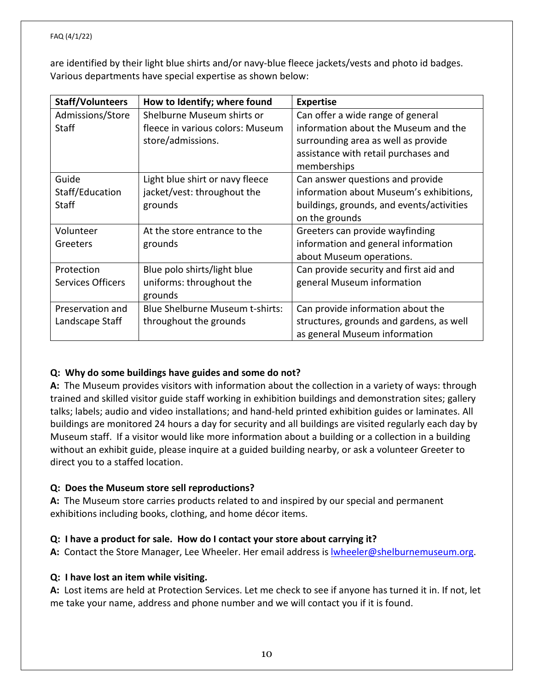are identified by their light blue shirts and/or navy-blue fleece jackets/vests and photo id badges. Various departments have special expertise as shown below:

| <b>Staff/Volunteers</b>  | How to Identify; where found           | <b>Expertise</b>                          |
|--------------------------|----------------------------------------|-------------------------------------------|
| Admissions/Store         | Shelburne Museum shirts or             | Can offer a wide range of general         |
| Staff                    | fleece in various colors: Museum       | information about the Museum and the      |
|                          | store/admissions.                      | surrounding area as well as provide       |
|                          |                                        | assistance with retail purchases and      |
|                          |                                        | memberships                               |
| Guide                    | Light blue shirt or navy fleece        | Can answer questions and provide          |
| Staff/Education          | jacket/vest: throughout the            | information about Museum's exhibitions,   |
| <b>Staff</b>             | grounds                                | buildings, grounds, and events/activities |
|                          |                                        | on the grounds                            |
| Volunteer                | At the store entrance to the           | Greeters can provide wayfinding           |
| Greeters                 | grounds                                | information and general information       |
|                          |                                        | about Museum operations.                  |
| Protection               | Blue polo shirts/light blue            | Can provide security and first aid and    |
| <b>Services Officers</b> | uniforms: throughout the               | general Museum information                |
|                          | grounds                                |                                           |
| Preservation and         | <b>Blue Shelburne Museum t-shirts:</b> | Can provide information about the         |
| Landscape Staff          | throughout the grounds                 | structures, grounds and gardens, as well  |
|                          |                                        | as general Museum information             |

#### **Q: Why do some buildings have guides and some do not?**

**A:** The Museum provides visitors with information about the collection in a variety of ways: through trained and skilled visitor guide staff working in exhibition buildings and demonstration sites; gallery talks; labels; audio and video installations; and hand-held printed exhibition guides or laminates. All buildings are monitored 24 hours a day for security and all buildings are visited regularly each day by Museum staff. If a visitor would like more information about a building or a collection in a building without an exhibit guide, please inquire at a guided building nearby, or ask a volunteer Greeter to direct you to a staffed location.

#### **Q: Does the Museum store sell reproductions?**

**A:** The Museum store carries products related to and inspired by our special and permanent exhibitions including books, clothing, and home décor items.

#### **Q: I have a product for sale. How do I contact your store about carrying it?**

A: Contact the Store Manager, Lee Wheeler. Her email address is **wheeler@shelburnemuseum.org.** 

#### **Q: I have lost an item while visiting.**

**A:** Lost items are held at Protection Services. Let me check to see if anyone has turned it in. If not, let me take your name, address and phone number and we will contact you if it is found.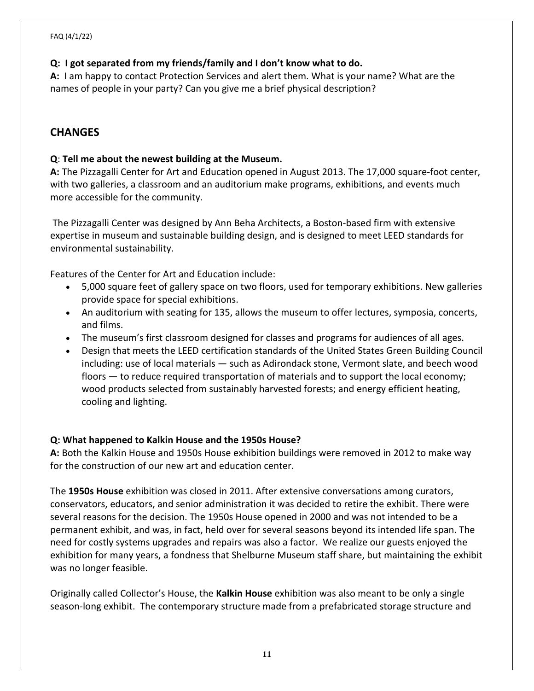## **Q: I got separated from my friends/family and I don't know what to do.**

**A:** I am happy to contact Protection Services and alert them. What is your name? What are the names of people in your party? Can you give me a brief physical description?

# **CHANGES**

#### **Q**: **Tell me about the newest building at the Museum.**

**A:** The Pizzagalli Center for Art and Education opened in August 2013. The 17,000 square-foot center, with two galleries, a classroom and an auditorium make programs, exhibitions, and events much more accessible for the community.

The Pizzagalli Center was designed by Ann Beha Architects, a Boston-based firm with extensive expertise in museum and sustainable building design, and is designed to meet LEED standards for environmental sustainability.

Features of the Center for Art and Education include:

- 5,000 square feet of gallery space on two floors, used for temporary exhibitions. New galleries provide space for special exhibitions.
- An auditorium with seating for 135, allows the museum to offer lectures, symposia, concerts, and films.
- The museum's first classroom designed for classes and programs for audiences of all ages.
- Design that meets the LEED certification standards of the United States Green Building Council including: use of local materials — such as Adirondack stone, Vermont slate, and beech wood floors — to reduce required transportation of materials and to support the local economy; wood products selected from sustainably harvested forests; and energy efficient heating, cooling and lighting.

#### **Q: What happened to Kalkin House and the 1950s House?**

**A:** Both the Kalkin House and 1950s House exhibition buildings were removed in 2012 to make way for the construction of our new art and education center.

The **1950s House** exhibition was closed in 2011. After extensive conversations among curators, conservators, educators, and senior administration it was decided to retire the exhibit. There were several reasons for the decision. The 1950s House opened in 2000 and was not intended to be a permanent exhibit, and was, in fact, held over for several seasons beyond its intended life span. The need for costly systems upgrades and repairs was also a factor. We realize our guests enjoyed the exhibition for many years, a fondness that Shelburne Museum staff share, but maintaining the exhibit was no longer feasible.

Originally called Collector's House, the **Kalkin House** exhibition was also meant to be only a single season-long exhibit. The contemporary structure made from a prefabricated storage structure and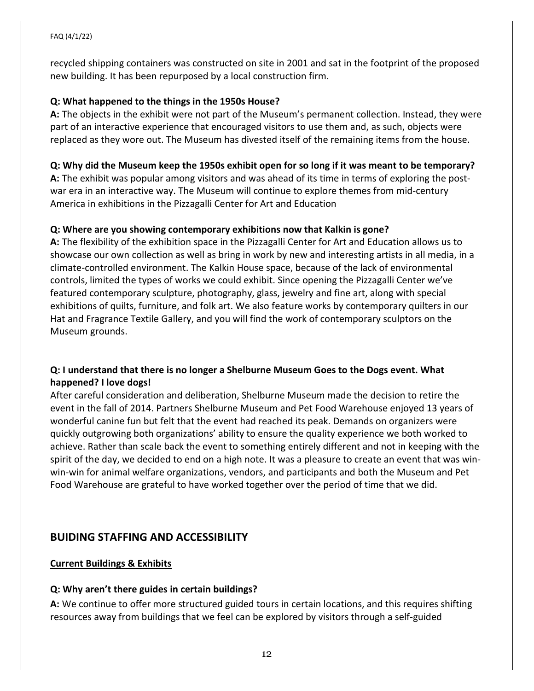recycled shipping containers was constructed on site in 2001 and sat in the footprint of the proposed new building. It has been repurposed by a local construction firm.

#### **Q: What happened to the things in the 1950s House?**

**A:** The objects in the exhibit were not part of the Museum's permanent collection. Instead, they were part of an interactive experience that encouraged visitors to use them and, as such, objects were replaced as they wore out. The Museum has divested itself of the remaining items from the house.

#### **Q: Why did the Museum keep the 1950s exhibit open for so long if it was meant to be temporary?**

**A:** The exhibit was popular among visitors and was ahead of its time in terms of exploring the postwar era in an interactive way. The Museum will continue to explore themes from mid-century America in exhibitions in the Pizzagalli Center for Art and Education

#### **Q: Where are you showing contemporary exhibitions now that Kalkin is gone?**

**A:** The flexibility of the exhibition space in the Pizzagalli Center for Art and Education allows us to showcase our own collection as well as bring in work by new and interesting artists in all media, in a climate-controlled environment. The Kalkin House space, because of the lack of environmental controls, limited the types of works we could exhibit. Since opening the Pizzagalli Center we've featured contemporary sculpture, photography, glass, jewelry and fine art, along with special exhibitions of quilts, furniture, and folk art. We also feature works by contemporary quilters in our Hat and Fragrance Textile Gallery, and you will find the work of contemporary sculptors on the Museum grounds.

## **Q: I understand that there is no longer a Shelburne Museum Goes to the Dogs event. What happened? I love dogs!**

After careful consideration and deliberation, Shelburne Museum made the decision to retire the event in the fall of 2014. Partners Shelburne Museum and Pet Food Warehouse enjoyed 13 years of wonderful canine fun but felt that the event had reached its peak. Demands on organizers were quickly outgrowing both organizations' ability to ensure the quality experience we both worked to achieve. Rather than scale back the event to something entirely different and not in keeping with the spirit of the day, we decided to end on a high note. It was a pleasure to create an event that was winwin-win for animal welfare organizations, vendors, and participants and both the Museum and Pet Food Warehouse are grateful to have worked together over the period of time that we did.

# **BUIDING STAFFING AND ACCESSIBILITY**

#### **Current Buildings & Exhibits**

#### **Q: Why aren't there guides in certain buildings?**

**A:** We continue to offer more structured guided tours in certain locations, and this requires shifting resources away from buildings that we feel can be explored by visitors through a self-guided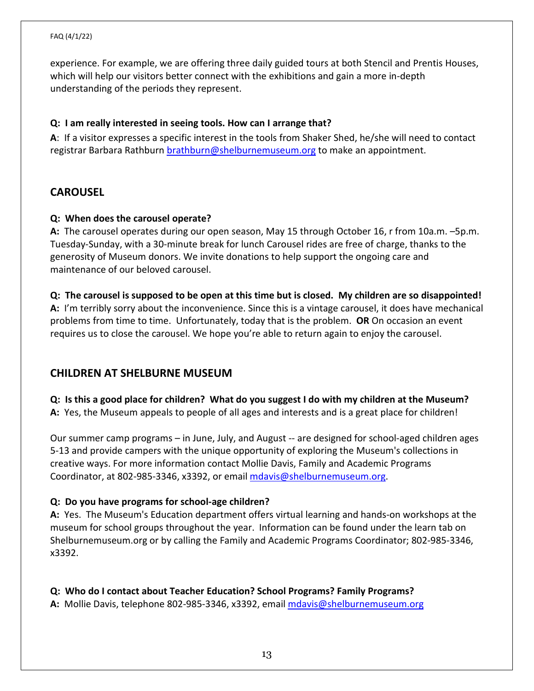experience. For example, we are offering three daily guided tours at both Stencil and Prentis Houses, which will help our visitors better connect with the exhibitions and gain a more in-depth understanding of the periods they represent.

#### **Q: I am really interested in seeing tools. How can I arrange that?**

**A**: If a visitor expresses a specific interest in the tools from Shaker Shed, he/she will need to contact registrar Barbara Rathburn [brathburn@shelburnemuseum.org](mailto:brathburn@shelburnemuseum.org) to make an appointment.

# **CAROUSEL**

#### **Q: When does the carousel operate?**

**A:** The carousel operates during our open season, May 15 through October 16, r from 10a.m. –5p.m. Tuesday-Sunday, with a 30-minute break for lunch Carousel rides are free of charge, thanks to the generosity of Museum donors. We invite donations to help support the ongoing care and maintenance of our beloved carousel.

#### **Q: The carousel is supposed to be open at this time but is closed. My children are so disappointed! A:** I'm terribly sorry about the inconvenience. Since this is a vintage carousel, it does have mechanical problems from time to time. Unfortunately, today that is the problem. **OR** On occasion an event requires us to close the carousel. We hope you're able to return again to enjoy the carousel.

# **CHILDREN AT SHELBURNE MUSEUM**

# **Q: Is this a good place for children? What do you suggest I do with my children at the Museum?**

**A:** Yes, the Museum appeals to people of all ages and interests and is a great place for children!

Our summer camp programs – in June, July, and August -- are designed for school-aged children ages 5-13 and provide campers with the unique opportunity of exploring the Museum's collections in creative ways. For more information contact Mollie Davis, Family and Academic Programs Coordinator, at 802-985-3346, x3392, or email [mdavis@shelburnemuseum.org.](mailto:mdavis@shelburnemuseum.org)

#### **Q: Do you have programs for school-age children?**

**A:** Yes. The Museum's Education department offers virtual learning and hands-on workshops at the museum for school groups throughout the year. Information can be found under the learn tab on Shelburnemuseum.org or by calling the Family and Academic Programs Coordinator; 802-985-3346, x3392.

#### **Q: Who do I contact about Teacher Education? School Programs? Family Programs? A:** Mollie Davis, telephone 802-985-3346, x3392, email [mdavis@shelburnemuseum.org](mailto:mdavis@shelburnemuseum.org)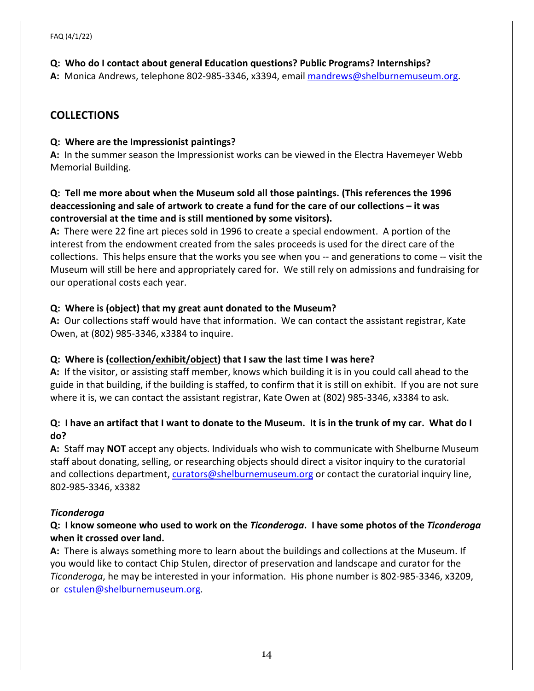## **Q: Who do I contact about general Education questions? Public Programs? Internships?**

**A:** Monica Andrews, telephone 802-985-3346, x3394, emai[l mandrews@shelburnemuseum.org.](mailto:kpetersen@shelburnemuseum.org)

# **COLLECTIONS**

## **Q: Where are the Impressionist paintings?**

**A:** In the summer season the Impressionist works can be viewed in the Electra Havemeyer Webb Memorial Building.

# **Q: Tell me more about when the Museum sold all those paintings. (This references the 1996 deaccessioning and sale of artwork to create a fund for the care of our collections – it was controversial at the time and is still mentioned by some visitors).**

**A:** There were 22 fine art pieces sold in 1996 to create a special endowment. A portion of the interest from the endowment created from the sales proceeds is used for the direct care of the collections. This helps ensure that the works you see when you -- and generations to come -- visit the Museum will still be here and appropriately cared for. We still rely on admissions and fundraising for our operational costs each year.

# **Q: Where is (object) that my great aunt donated to the Museum?**

**A:** Our collections staff would have that information. We can contact the assistant registrar, Kate Owen, at (802) 985-3346, x3384 to inquire.

# **Q: Where is (collection/exhibit/object) that I saw the last time I was here?**

**A:** If the visitor, or assisting staff member, knows which building it is in you could call ahead to the guide in that building, if the building is staffed, to confirm that it is still on exhibit. If you are not sure where it is, we can contact the assistant registrar, Kate Owen at (802) 985-3346, x3384 to ask.

## **Q: I have an artifact that I want to donate to the Museum. It is in the trunk of my car. What do I do?**

**A:** Staff may **NOT** accept any objects. Individuals who wish to communicate with Shelburne Museum staff about donating, selling, or researching objects should direct a visitor inquiry to the curatorial and collections department, [curators@shelburnemuseum.org](mailto:curators@shelburnemuseum.org) or contact the curatorial inquiry line, 802-985-3346, x3382

# *Ticonderoga*

# **Q: I know someone who used to work on the** *Ticonderoga***. I have some photos of the** *Ticonderoga* **when it crossed over land.**

**A:** There is always something more to learn about the buildings and collections at the Museum. If you would like to contact Chip Stulen, director of preservation and landscape and curator for the *Ticonderoga*, he may be interested in your information. His phone number is 802-985-3346, x3209, or [cstulen@shelburnemuseum.org.](mailto:cstulen@shelburnemuseum.org)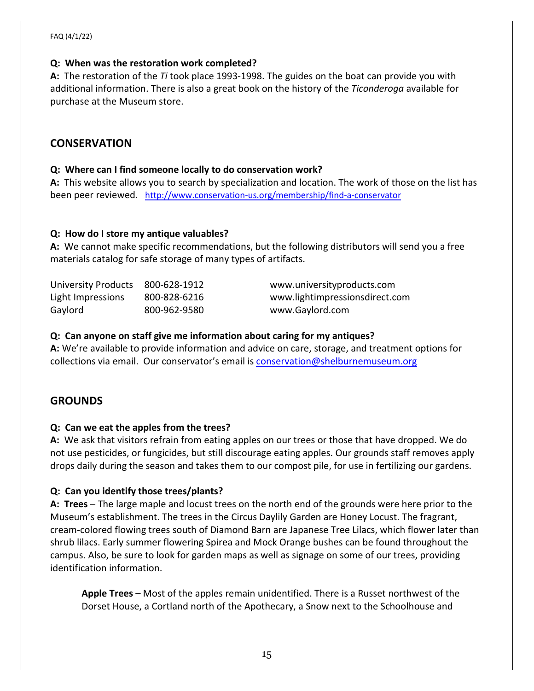# **Q: When was the restoration work completed?**

**A:** The restoration of the *Ti* took place 1993-1998. The guides on the boat can provide you with additional information. There is also a great book on the history of the *Ticonderoga* available for purchase at the Museum store.

# **CONSERVATION**

# **Q: Where can I find someone locally to do conservation work?**

**A:** This website allows you to search by specialization and location. The work of those on the list has been peer reviewed. <http://www.conservation-us.org/membership/find-a-conservator>

# **Q: How do I store my antique valuables?**

**A:** We cannot make specific recommendations, but the following distributors will send you a free materials catalog for safe storage of many types of artifacts.

| University Products 800-628-1912 |              | www.universityproducts.com     |
|----------------------------------|--------------|--------------------------------|
| Light Impressions                | 800-828-6216 | www.lightimpressionsdirect.com |
| Gaylord                          | 800-962-9580 | www.Gaylord.com                |

# **Q: Can anyone on staff give me information about caring for my antiques?**

**A:** We're available to provide information and advice on care, storage, and treatment options for collections via email. Our conservator's email is [conservation@shelburnemuseum.org](mailto:conservation@shelburnemuseum.org)

# **GROUNDS**

# **Q: Can we eat the apples from the trees?**

**A:** We ask that visitors refrain from eating apples on our trees or those that have dropped. We do not use pesticides, or fungicides, but still discourage eating apples. Our grounds staff removes apply drops daily during the season and takes them to our compost pile, for use in fertilizing our gardens.

# **Q: Can you identify those trees/plants?**

**A: Trees** – The large maple and locust trees on the north end of the grounds were here prior to the Museum's establishment. The trees in the Circus Daylily Garden are Honey Locust. The fragrant, cream-colored flowing trees south of Diamond Barn are Japanese Tree Lilacs, which flower later than shrub lilacs. Early summer flowering Spirea and Mock Orange bushes can be found throughout the campus. Also, be sure to look for garden maps as well as signage on some of our trees, providing identification information.

**Apple Trees** – Most of the apples remain unidentified. There is a Russet northwest of the Dorset House, a Cortland north of the Apothecary, a Snow next to the Schoolhouse and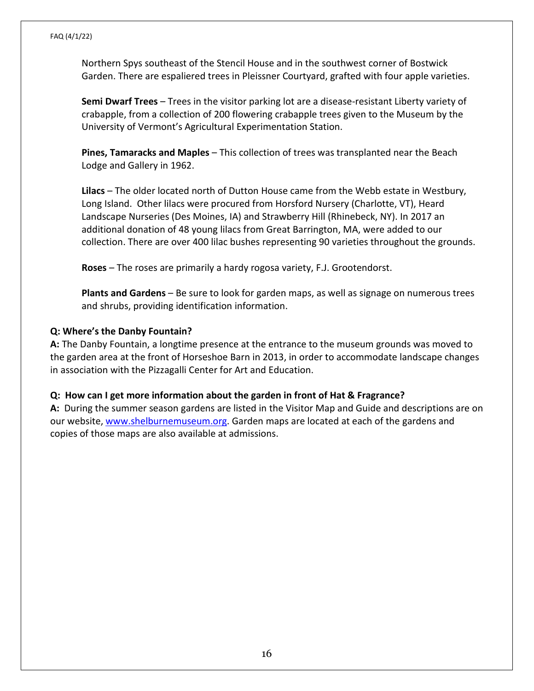Northern Spys southeast of the Stencil House and in the southwest corner of Bostwick Garden. There are espaliered trees in Pleissner Courtyard, grafted with four apple varieties.

**Semi Dwarf Trees** – Trees in the visitor parking lot are a disease-resistant Liberty variety of crabapple, from a collection of 200 flowering crabapple trees given to the Museum by the University of Vermont's Agricultural Experimentation Station.

**Pines, Tamaracks and Maples** – This collection of trees was transplanted near the Beach Lodge and Gallery in 1962.

**Lilacs** – The older located north of Dutton House came from the Webb estate in Westbury, Long Island. Other lilacs were procured from Horsford Nursery (Charlotte, VT), Heard Landscape Nurseries (Des Moines, IA) and Strawberry Hill (Rhinebeck, NY). In 2017 an additional donation of 48 young lilacs from Great Barrington, MA, were added to our collection. There are over 400 lilac bushes representing 90 varieties throughout the grounds.

**Roses** – The roses are primarily a hardy rogosa variety, F.J. Grootendorst.

**Plants and Gardens** – Be sure to look for garden maps, as well as signage on numerous trees and shrubs, providing identification information.

#### **Q: Where's the Danby Fountain?**

**A:** The Danby Fountain, a longtime presence at the entrance to the museum grounds was moved to the garden area at the front of Horseshoe Barn in 2013, in order to accommodate landscape changes in association with the Pizzagalli Center for Art and Education.

#### **Q: How can I get more information about the garden in front of Hat & Fragrance?**

**A:** During the summer season gardens are listed in the Visitor Map and Guide and descriptions are on our website, [www.shelburnemuseum.org.](http://www.shelburnemuseum.org/) Garden maps are located at each of the gardens and copies of those maps are also available at admissions.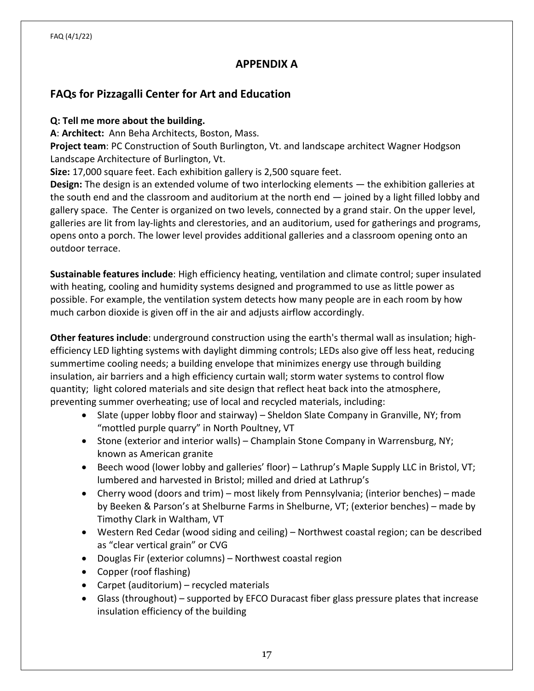# **APPENDIX A**

# **FAQs for Pizzagalli Center for Art and Education**

#### **Q: Tell me more about the building.**

**A**: **Architect:** Ann Beha Architects, Boston, Mass.

**Project team**: PC Construction of South Burlington, Vt. and landscape architect Wagner Hodgson Landscape Architecture of Burlington, Vt.

**Size:** 17,000 square feet. Each exhibition gallery is 2,500 square feet.

**Design:** The design is an extended volume of two interlocking elements — the exhibition galleries at the south end and the classroom and auditorium at the north end — joined by a light filled lobby and gallery space. The Center is organized on two levels, connected by a grand stair. On the upper level, galleries are lit from lay-lights and clerestories, and an auditorium, used for gatherings and programs, opens onto a porch. The lower level provides additional galleries and a classroom opening onto an outdoor terrace.

**Sustainable features include**: High efficiency heating, ventilation and climate control; super insulated with heating, cooling and humidity systems designed and programmed to use as little power as possible. For example, the ventilation system detects how many people are in each room by how much carbon dioxide is given off in the air and adjusts airflow accordingly.

**Other features include**: underground construction using the earth's thermal wall as insulation; highefficiency LED lighting systems with daylight dimming controls; LEDs also give off less heat, reducing summertime cooling needs; a building envelope that minimizes energy use through building insulation, air barriers and a high efficiency curtain wall; storm water systems to control flow quantity; light colored materials and site design that reflect heat back into the atmosphere, preventing summer overheating; use of local and recycled materials, including:

- Slate (upper lobby floor and stairway) Sheldon Slate Company in Granville, NY; from "mottled purple quarry" in North Poultney, VT
- Stone (exterior and interior walls) Champlain Stone Company in Warrensburg, NY; known as American granite
- Beech wood (lower lobby and galleries' floor) Lathrup's Maple Supply LLC in Bristol, VT; lumbered and harvested in Bristol; milled and dried at Lathrup's
- Cherry wood (doors and trim) most likely from Pennsylvania; (interior benches) made by Beeken & Parson's at Shelburne Farms in Shelburne, VT; (exterior benches) – made by Timothy Clark in Waltham, VT
- Western Red Cedar (wood siding and ceiling) Northwest coastal region; can be described as "clear vertical grain" or CVG
- Douglas Fir (exterior columns) Northwest coastal region
- Copper (roof flashing)
- Carpet (auditorium) recycled materials
- Glass (throughout) supported by EFCO Duracast fiber glass pressure plates that increase insulation efficiency of the building